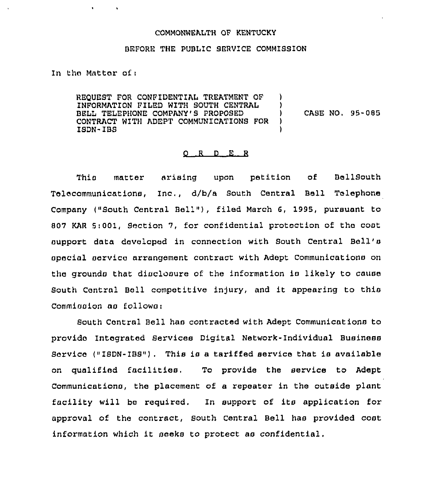## COMMONWEALTH OF KENTUCKY

## BEFORE THE PUBLIC SERVICE COMMISSION

In tho Matter of <sup>i</sup>

REQUEST FOR CONFIDENTIAL TREATMENT OF INFORMATION PILED WITH SOUTH CENTRAL BELL TELEPHONE COMPANY'S PROPOSED CONTRACT WITH ADEPT COMMUNICATIONS FOR ISDN- IBS ) ) )

) CASE NO, 95-085

## 0 R <sup>D</sup> E R

This matter arising upon petition of BellSouth Telecommunications, Inc., d/b/a South Central Bell Telephone Company ("South Central Bell"), filed March 6, 1995, pursuant to 807 KAR Si001, Section 7, for confidential protection of tho cost support data developed in connection with South Central Bell's special service arrangement contract with Adept Communications on the grounds that disclosure of the information is likely to cause South Central Bell competitive injury, and it appearing to this Commission as follows:

South Central Bell has contracted with Adept Communications to provide Integrated Services Digital Network- Individual Business Service ("ISDN-IBS"). This is a tariffed service that is available on qualified facilities. To provide the service to Adept Communications, the placement of a repeater in the outside plant facility will be required, In support of its application for approval of the contract, South Central Bell has provided cost information which it seeks to protect as confidential.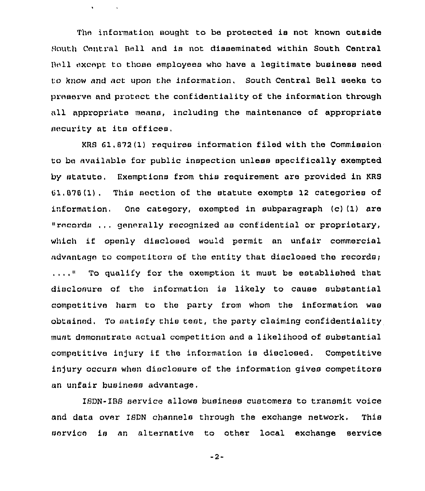The information sought to be protected is not known outside South Central Bell and ia not disseminated within South Central Bell except to those employeea who have a legitimate business need to know and act upon the information, South Central Bell seeks to preserve and protect the confidentiality of the information through all appropriate means, including the maintenance of appropriate security at its offices.

 $\mathbf{v}$  .

KRS 61,872(I) requires information filed with the Commission to be available for public inspection unless specifically exempted by statute, Exemptions from this requirement are provided in KRS 61,676(1), This section of the statute exempts 12 categories of information, One category, exempted in subparagraph (c) (1) are "records ...generally recognised as confidential or proprietary, which if openly disclosed would permit an unfair commercial advantage to competitors of the entity that disclosed the records;  $\ldots$ ... To qualify for the exemption it must be established that disclosure of the information is likely to cause substantial competitive harm to the party from whom the information was obtained. To satisfy this test, the party claiming confidentiality must demonstrate actual competition and a likelihood of substantial competitive ln)ury if the information is disclosed. Competitive injury occurs when disclosure of the information gives competitors an unfair business advantage,

ISDN-1BS service allows business customers to transmit voice and data over ISDN channels through the exchange network. This service is an alternative to other local exchange service

-2-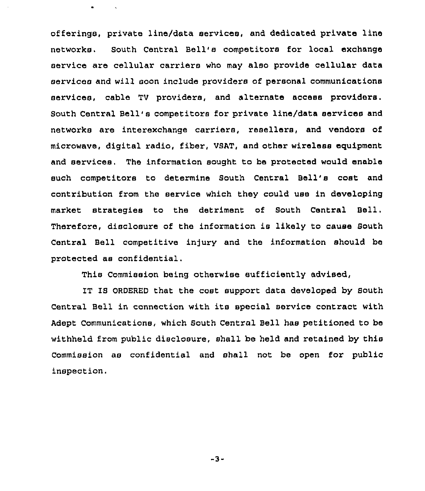offerings, private line/data services, and dedicated private line networks. South Central Bell's competitors for local exchange service are cellular carriers who may also provide cellular data services and will soon include providers of personal communications services, cable TV providers, and alternate access providers. South Central Bell's competitors for private line/data services and networks are interexchange carriers, resellers, and vendors of microwave, digital radio, fiber, VSAT, and other wireless equipment and services. The information sought to be protected would enable such competitors to determine South Central Bell's cost and contribution from the service which they could use in developing market strategies to the detriment of South Central Bell. Therefore, disclosure of the information is likely to cause South Central Bell competitive injury and the information should ba protected ae confidential.

This Commission being otherwise sufficiently advised,

IT IS ORDERED that the cost support data developed by South Central Bell in connection with its special service contract with Adept Communications, which South Central Bell has petitioned to be withheld from public disclosure, shall be held and retained by this Commission as confidential and shall not be open for public inspection.

-3-